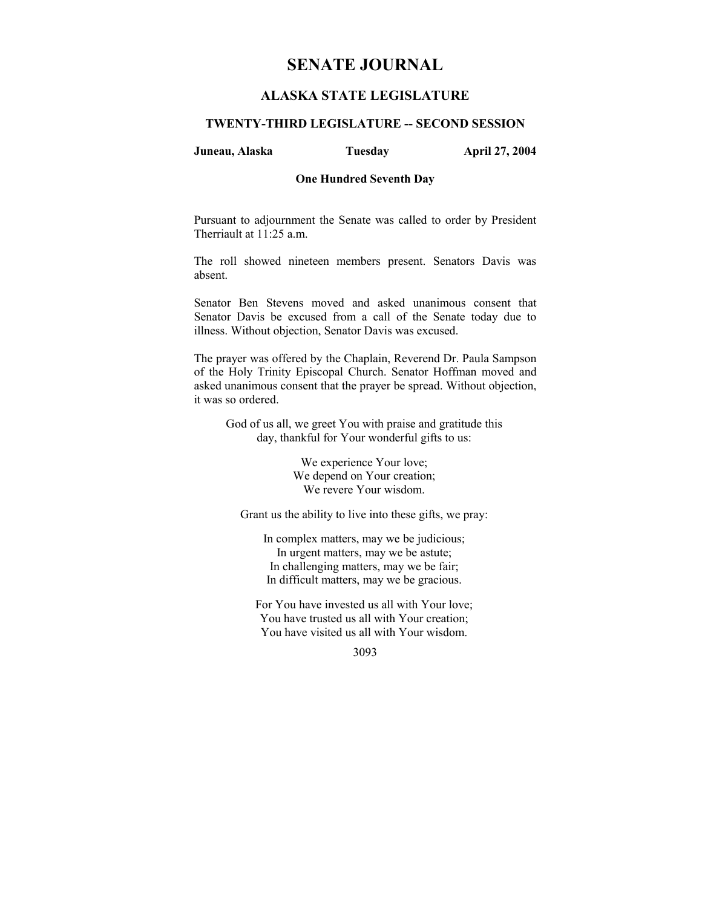# **SENATE JOURNAL**

# **ALASKA STATE LEGISLATURE**

# **TWENTY-THIRD LEGISLATURE -- SECOND SESSION**

### **Juneau, Alaska Tuesday April 27, 2004**

#### **One Hundred Seventh Day**

Pursuant to adjournment the Senate was called to order by President Therriault at 11:25 a.m.

The roll showed nineteen members present. Senators Davis was absent.

Senator Ben Stevens moved and asked unanimous consent that Senator Davis be excused from a call of the Senate today due to illness. Without objection, Senator Davis was excused.

The prayer was offered by the Chaplain, Reverend Dr. Paula Sampson of the Holy Trinity Episcopal Church. Senator Hoffman moved and asked unanimous consent that the prayer be spread. Without objection, it was so ordered.

God of us all, we greet You with praise and gratitude this day, thankful for Your wonderful gifts to us:

> We experience Your love; We depend on Your creation; We revere Your wisdom.

Grant us the ability to live into these gifts, we pray:

In complex matters, may we be judicious; In urgent matters, may we be astute; In challenging matters, may we be fair; In difficult matters, may we be gracious.

For You have invested us all with Your love; You have trusted us all with Your creation; You have visited us all with Your wisdom.

3093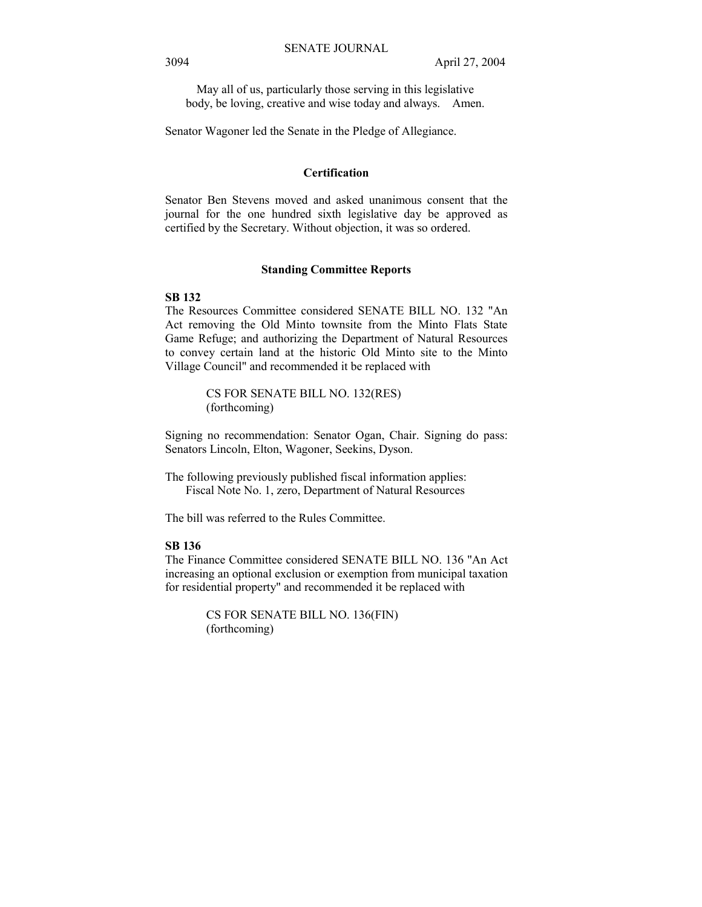May all of us, particularly those serving in this legislative body, be loving, creative and wise today and always. Amen.

Senator Wagoner led the Senate in the Pledge of Allegiance.

#### **Certification**

Senator Ben Stevens moved and asked unanimous consent that the journal for the one hundred sixth legislative day be approved as certified by the Secretary. Without objection, it was so ordered.

#### **Standing Committee Reports**

# **SB 132**

The Resources Committee considered SENATE BILL NO. 132 "An Act removing the Old Minto townsite from the Minto Flats State Game Refuge; and authorizing the Department of Natural Resources to convey certain land at the historic Old Minto site to the Minto Village Council" and recommended it be replaced with

> CS FOR SENATE BILL NO. 132(RES) (forthcoming)

Signing no recommendation: Senator Ogan, Chair. Signing do pass: Senators Lincoln, Elton, Wagoner, Seekins, Dyson.

The following previously published fiscal information applies: Fiscal Note No. 1, zero, Department of Natural Resources

The bill was referred to the Rules Committee.

# **SB 136**

The Finance Committee considered SENATE BILL NO. 136 "An Act increasing an optional exclusion or exemption from municipal taxation for residential property" and recommended it be replaced with

> CS FOR SENATE BILL NO. 136(FIN) (forthcoming)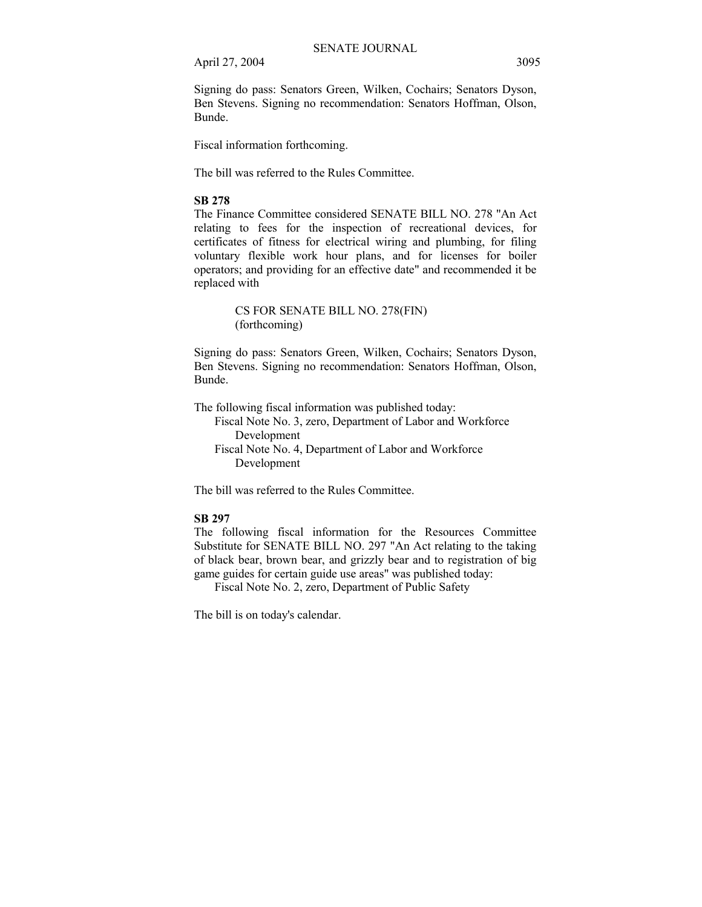Signing do pass: Senators Green, Wilken, Cochairs; Senators Dyson, Ben Stevens. Signing no recommendation: Senators Hoffman, Olson, Bunde.

Fiscal information forthcoming.

The bill was referred to the Rules Committee.

## **SB 278**

The Finance Committee considered SENATE BILL NO. 278 "An Act relating to fees for the inspection of recreational devices, for certificates of fitness for electrical wiring and plumbing, for filing voluntary flexible work hour plans, and for licenses for boiler operators; and providing for an effective date" and recommended it be replaced with

> CS FOR SENATE BILL NO. 278(FIN) (forthcoming)

Signing do pass: Senators Green, Wilken, Cochairs; Senators Dyson, Ben Stevens. Signing no recommendation: Senators Hoffman, Olson, Bunde.

The following fiscal information was published today: Fiscal Note No. 3, zero, Department of Labor and Workforce Development Fiscal Note No. 4, Department of Labor and Workforce Development

The bill was referred to the Rules Committee.

# **SB 297**

The following fiscal information for the Resources Committee Substitute for SENATE BILL NO. 297 "An Act relating to the taking of black bear, brown bear, and grizzly bear and to registration of big game guides for certain guide use areas" was published today:

Fiscal Note No. 2, zero, Department of Public Safety

The bill is on today's calendar.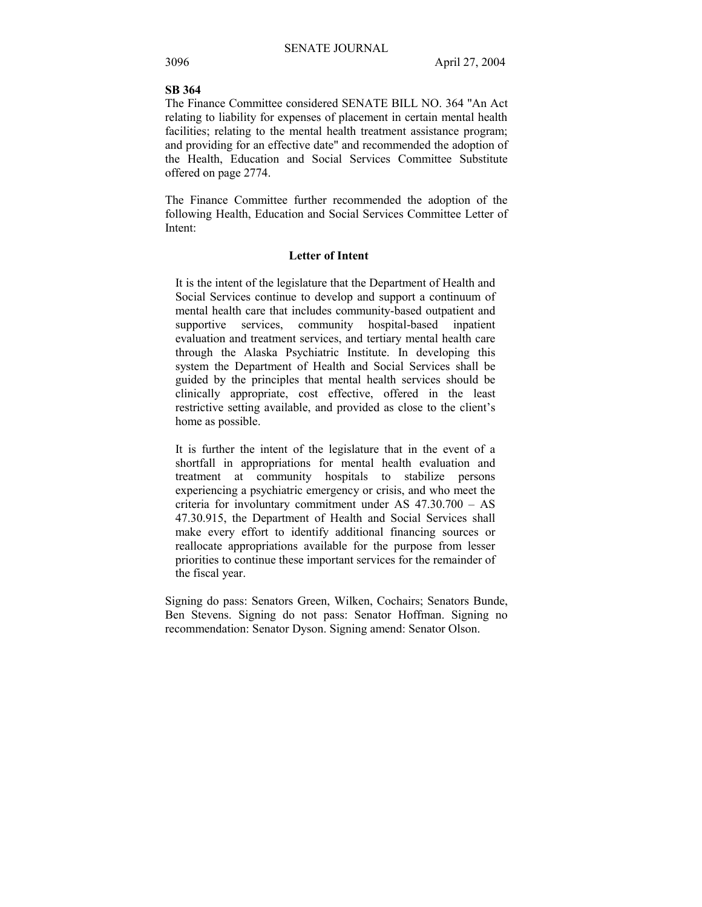# **SB 364**

The Finance Committee considered SENATE BILL NO. 364 "An Act relating to liability for expenses of placement in certain mental health facilities; relating to the mental health treatment assistance program; and providing for an effective date" and recommended the adoption of the Health, Education and Social Services Committee Substitute offered on page 2774.

The Finance Committee further recommended the adoption of the following Health, Education and Social Services Committee Letter of Intent:

## **Letter of Intent**

It is the intent of the legislature that the Department of Health and Social Services continue to develop and support a continuum of mental health care that includes community-based outpatient and supportive services, community hospital-based inpatient evaluation and treatment services, and tertiary mental health care through the Alaska Psychiatric Institute. In developing this system the Department of Health and Social Services shall be guided by the principles that mental health services should be clinically appropriate, cost effective, offered in the least restrictive setting available, and provided as close to the client's home as possible.

It is further the intent of the legislature that in the event of a shortfall in appropriations for mental health evaluation and treatment at community hospitals to stabilize persons experiencing a psychiatric emergency or crisis, and who meet the criteria for involuntary commitment under AS  $47.30.700 - AS$ 47.30.915, the Department of Health and Social Services shall make every effort to identify additional financing sources or reallocate appropriations available for the purpose from lesser priorities to continue these important services for the remainder of the fiscal year.

Signing do pass: Senators Green, Wilken, Cochairs; Senators Bunde, Ben Stevens. Signing do not pass: Senator Hoffman. Signing no recommendation: Senator Dyson. Signing amend: Senator Olson.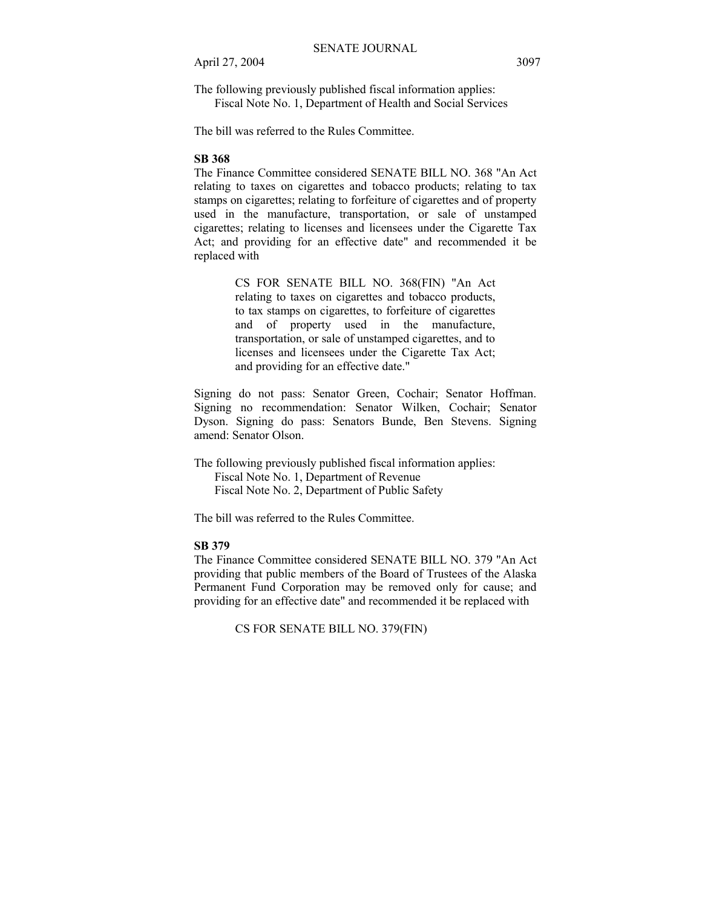The following previously published fiscal information applies: Fiscal Note No. 1, Department of Health and Social Services

The bill was referred to the Rules Committee.

# **SB 368**

The Finance Committee considered SENATE BILL NO. 368 "An Act relating to taxes on cigarettes and tobacco products; relating to tax stamps on cigarettes; relating to forfeiture of cigarettes and of property used in the manufacture, transportation, or sale of unstamped cigarettes; relating to licenses and licensees under the Cigarette Tax Act; and providing for an effective date" and recommended it be replaced with

> CS FOR SENATE BILL NO. 368(FIN) "An Act relating to taxes on cigarettes and tobacco products, to tax stamps on cigarettes, to forfeiture of cigarettes and of property used in the manufacture, transportation, or sale of unstamped cigarettes, and to licenses and licensees under the Cigarette Tax Act; and providing for an effective date."

Signing do not pass: Senator Green, Cochair; Senator Hoffman. Signing no recommendation: Senator Wilken, Cochair; Senator Dyson. Signing do pass: Senators Bunde, Ben Stevens. Signing amend: Senator Olson.

The following previously published fiscal information applies: Fiscal Note No. 1, Department of Revenue Fiscal Note No. 2, Department of Public Safety

The bill was referred to the Rules Committee.

# **SB 379**

The Finance Committee considered SENATE BILL NO. 379 "An Act providing that public members of the Board of Trustees of the Alaska Permanent Fund Corporation may be removed only for cause; and providing for an effective date" and recommended it be replaced with

CS FOR SENATE BILL NO. 379(FIN)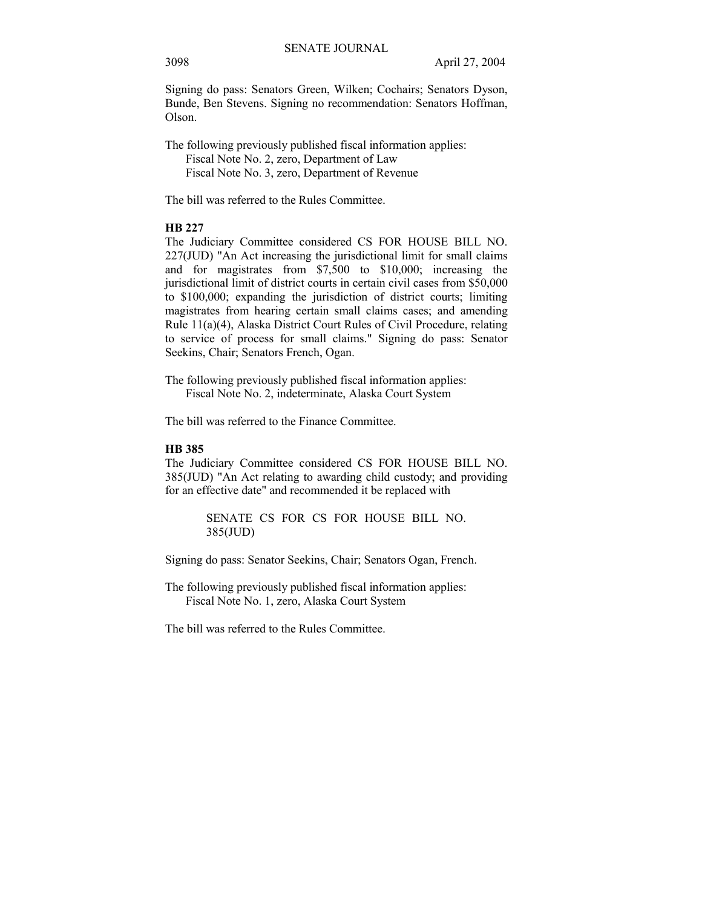Signing do pass: Senators Green, Wilken; Cochairs; Senators Dyson, Bunde, Ben Stevens. Signing no recommendation: Senators Hoffman, Olson.

The following previously published fiscal information applies: Fiscal Note No. 2, zero, Department of Law Fiscal Note No. 3, zero, Department of Revenue

The bill was referred to the Rules Committee.

# **HB 227**

The Judiciary Committee considered CS FOR HOUSE BILL NO. 227(JUD) "An Act increasing the jurisdictional limit for small claims and for magistrates from \$7,500 to \$10,000; increasing the jurisdictional limit of district courts in certain civil cases from \$50,000 to \$100,000; expanding the jurisdiction of district courts; limiting magistrates from hearing certain small claims cases; and amending Rule 11(a)(4), Alaska District Court Rules of Civil Procedure, relating to service of process for small claims." Signing do pass: Senator Seekins, Chair; Senators French, Ogan.

The following previously published fiscal information applies: Fiscal Note No. 2, indeterminate, Alaska Court System

The bill was referred to the Finance Committee.

# **HB 385**

The Judiciary Committee considered CS FOR HOUSE BILL NO. 385(JUD) "An Act relating to awarding child custody; and providing for an effective date" and recommended it be replaced with

> SENATE CS FOR CS FOR HOUSE BILL NO. 385(JUD)

Signing do pass: Senator Seekins, Chair; Senators Ogan, French.

The following previously published fiscal information applies: Fiscal Note No. 1, zero, Alaska Court System

The bill was referred to the Rules Committee.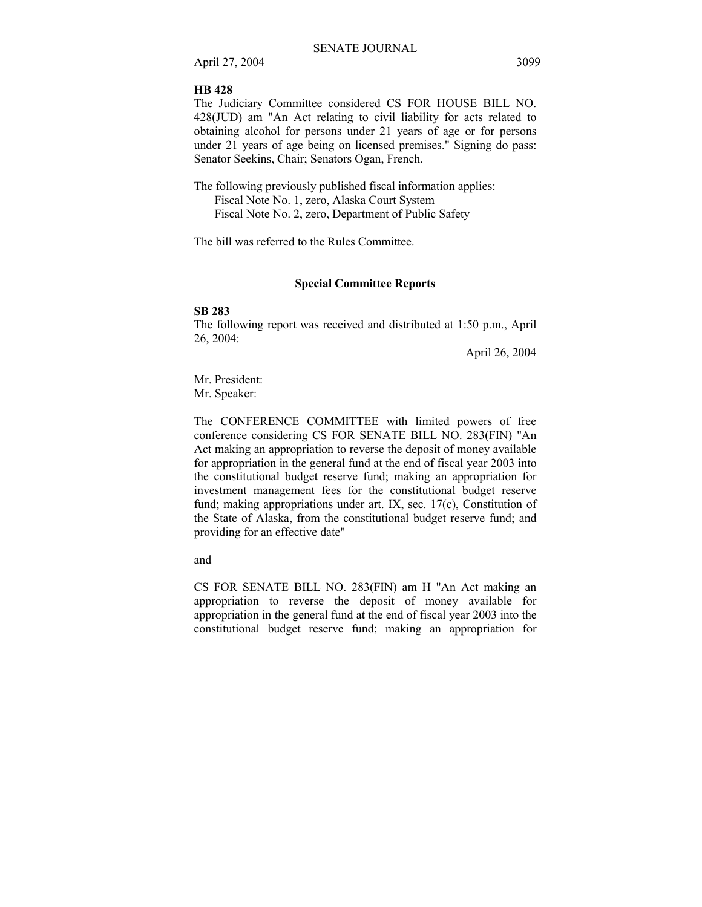## **HB 428**

The Judiciary Committee considered CS FOR HOUSE BILL NO. 428(JUD) am "An Act relating to civil liability for acts related to obtaining alcohol for persons under 21 years of age or for persons under 21 years of age being on licensed premises." Signing do pass: Senator Seekins, Chair; Senators Ogan, French.

The following previously published fiscal information applies: Fiscal Note No. 1, zero, Alaska Court System Fiscal Note No. 2, zero, Department of Public Safety

The bill was referred to the Rules Committee.

#### **Special Committee Reports**

#### **SB 283**

The following report was received and distributed at 1:50 p.m., April 26, 2004:

April 26, 2004

Mr. President: Mr. Speaker:

The CONFERENCE COMMITTEE with limited powers of free conference considering CS FOR SENATE BILL NO. 283(FIN) "An Act making an appropriation to reverse the deposit of money available for appropriation in the general fund at the end of fiscal year 2003 into the constitutional budget reserve fund; making an appropriation for investment management fees for the constitutional budget reserve fund; making appropriations under art. IX, sec. 17(c), Constitution of the State of Alaska, from the constitutional budget reserve fund; and providing for an effective date"

and

CS FOR SENATE BILL NO. 283(FIN) am H "An Act making an appropriation to reverse the deposit of money available for appropriation in the general fund at the end of fiscal year 2003 into the constitutional budget reserve fund; making an appropriation for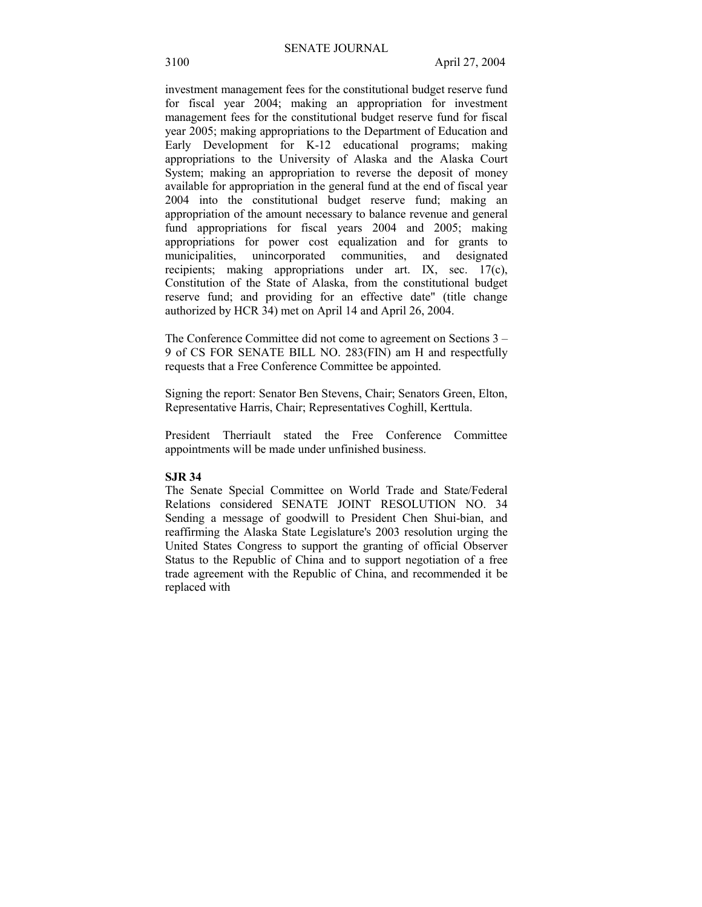investment management fees for the constitutional budget reserve fund for fiscal year 2004; making an appropriation for investment management fees for the constitutional budget reserve fund for fiscal year 2005; making appropriations to the Department of Education and Early Development for K-12 educational programs; making appropriations to the University of Alaska and the Alaska Court System; making an appropriation to reverse the deposit of money available for appropriation in the general fund at the end of fiscal year 2004 into the constitutional budget reserve fund; making an appropriation of the amount necessary to balance revenue and general fund appropriations for fiscal years 2004 and 2005; making appropriations for power cost equalization and for grants to municipalities, unincorporated communities, and designated recipients; making appropriations under art. IX, sec. 17(c), Constitution of the State of Alaska, from the constitutional budget reserve fund; and providing for an effective date" (title change authorized by HCR 34) met on April 14 and April 26, 2004.

The Conference Committee did not come to agreement on Sections  $3 -$ 9 of CS FOR SENATE BILL NO. 283(FIN) am H and respectfully requests that a Free Conference Committee be appointed.

Signing the report: Senator Ben Stevens, Chair; Senators Green, Elton, Representative Harris, Chair; Representatives Coghill, Kerttula.

President Therriault stated the Free Conference Committee appointments will be made under unfinished business.

#### **SJR 34**

The Senate Special Committee on World Trade and State/Federal Relations considered SENATE JOINT RESOLUTION NO. 34 Sending a message of goodwill to President Chen Shui-bian, and reaffirming the Alaska State Legislature's 2003 resolution urging the United States Congress to support the granting of official Observer Status to the Republic of China and to support negotiation of a free trade agreement with the Republic of China, and recommended it be replaced with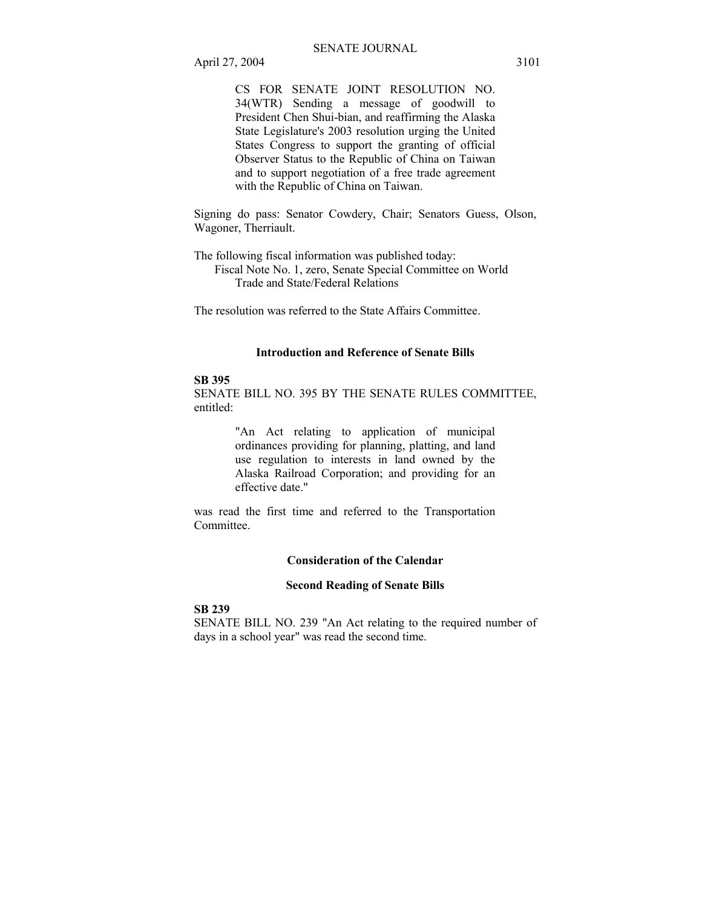CS FOR SENATE JOINT RESOLUTION NO. 34(WTR) Sending a message of goodwill to President Chen Shui-bian, and reaffirming the Alaska State Legislature's 2003 resolution urging the United States Congress to support the granting of official Observer Status to the Republic of China on Taiwan and to support negotiation of a free trade agreement with the Republic of China on Taiwan.

Signing do pass: Senator Cowdery, Chair; Senators Guess, Olson, Wagoner, Therriault.

The following fiscal information was published today: Fiscal Note No. 1, zero, Senate Special Committee on World Trade and State/Federal Relations

The resolution was referred to the State Affairs Committee.

# **Introduction and Reference of Senate Bills**

# **SB 395**

SENATE BILL NO. 395 BY THE SENATE RULES COMMITTEE, entitled:

> "An Act relating to application of municipal ordinances providing for planning, platting, and land use regulation to interests in land owned by the Alaska Railroad Corporation; and providing for an effective date."

was read the first time and referred to the Transportation Committee.

# **Consideration of the Calendar**

# **Second Reading of Senate Bills**

#### **SB 239**

SENATE BILL NO. 239 "An Act relating to the required number of days in a school year" was read the second time.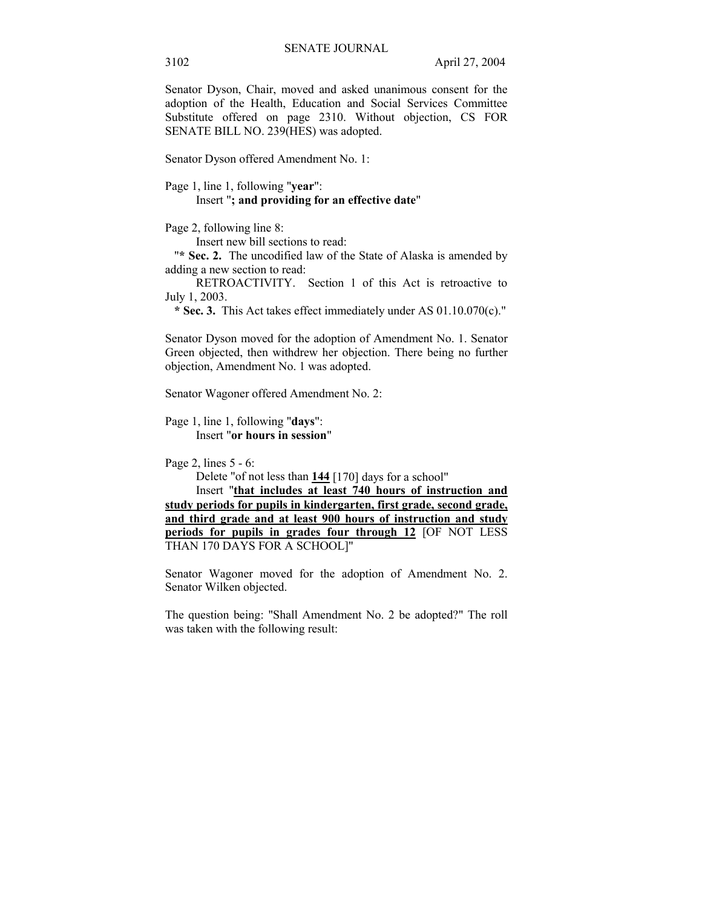Senator Dyson, Chair, moved and asked unanimous consent for the adoption of the Health, Education and Social Services Committee Substitute offered on page 2310. Without objection, CS FOR SENATE BILL NO. 239(HES) was adopted.

Senator Dyson offered Amendment No. 1:

#### Page 1, line 1, following "**year**": Insert "**; and providing for an effective date**"

Page 2, following line 8:

Insert new bill sections to read:

 "**\* Sec. 2.** The uncodified law of the State of Alaska is amended by adding a new section to read:

 RETROACTIVITY. Section 1 of this Act is retroactive to July 1, 2003.

 **\* Sec. 3.** This Act takes effect immediately under AS 01.10.070(c)."

Senator Dyson moved for the adoption of Amendment No. 1. Senator Green objected, then withdrew her objection. There being no further objection, Amendment No. 1 was adopted.

Senator Wagoner offered Amendment No. 2:

Page 1, line 1, following "**days**": Insert "**or hours in session**"

Page 2, lines 5 - 6:

Delete "of not less than **144** [170] days for a school"

Insert "**that includes at least 740 hours of instruction and study periods for pupils in kindergarten, first grade, second grade, and third grade and at least 900 hours of instruction and study periods for pupils in grades four through 12** [OF NOT LESS THAN 170 DAYS FOR A SCHOOL]"

Senator Wagoner moved for the adoption of Amendment No. 2. Senator Wilken objected.

The question being: "Shall Amendment No. 2 be adopted?" The roll was taken with the following result: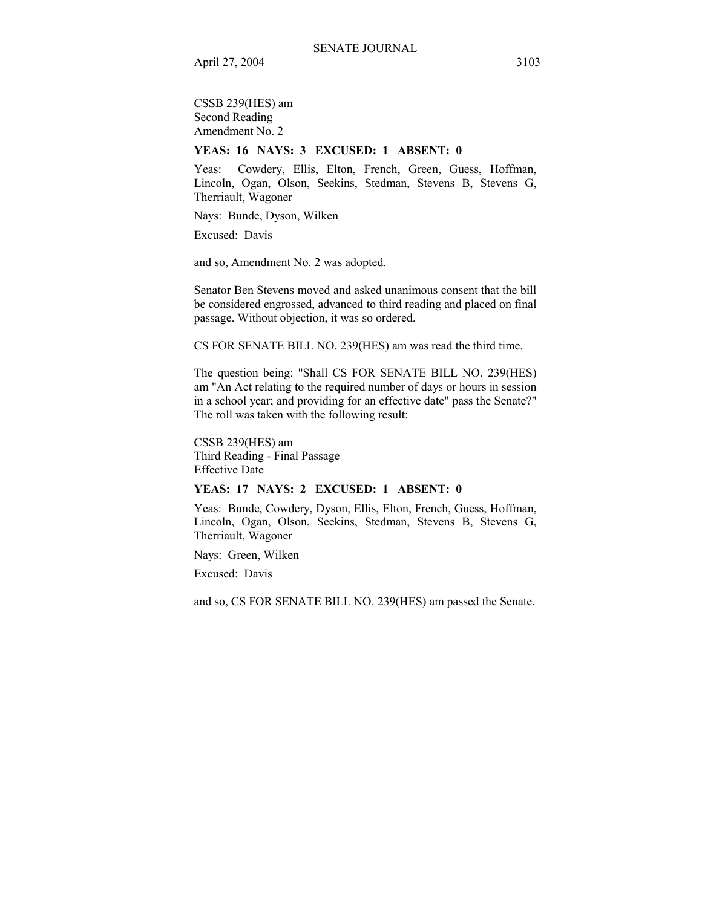CSSB 239(HES) am Second Reading Amendment No. 2

# **YEAS: 16 NAYS: 3 EXCUSED: 1 ABSENT: 0**

Yeas: Cowdery, Ellis, Elton, French, Green, Guess, Hoffman, Lincoln, Ogan, Olson, Seekins, Stedman, Stevens B, Stevens G, Therriault, Wagoner

Nays: Bunde, Dyson, Wilken

Excused: Davis

and so, Amendment No. 2 was adopted.

Senator Ben Stevens moved and asked unanimous consent that the bill be considered engrossed, advanced to third reading and placed on final passage. Without objection, it was so ordered.

CS FOR SENATE BILL NO. 239(HES) am was read the third time.

The question being: "Shall CS FOR SENATE BILL NO. 239(HES) am "An Act relating to the required number of days or hours in session in a school year; and providing for an effective date" pass the Senate?" The roll was taken with the following result:

CSSB 239(HES) am Third Reading - Final Passage Effective Date

## **YEAS: 17 NAYS: 2 EXCUSED: 1 ABSENT: 0**

Yeas: Bunde, Cowdery, Dyson, Ellis, Elton, French, Guess, Hoffman, Lincoln, Ogan, Olson, Seekins, Stedman, Stevens B, Stevens G, Therriault, Wagoner

Nays: Green, Wilken

Excused: Davis

and so, CS FOR SENATE BILL NO. 239(HES) am passed the Senate.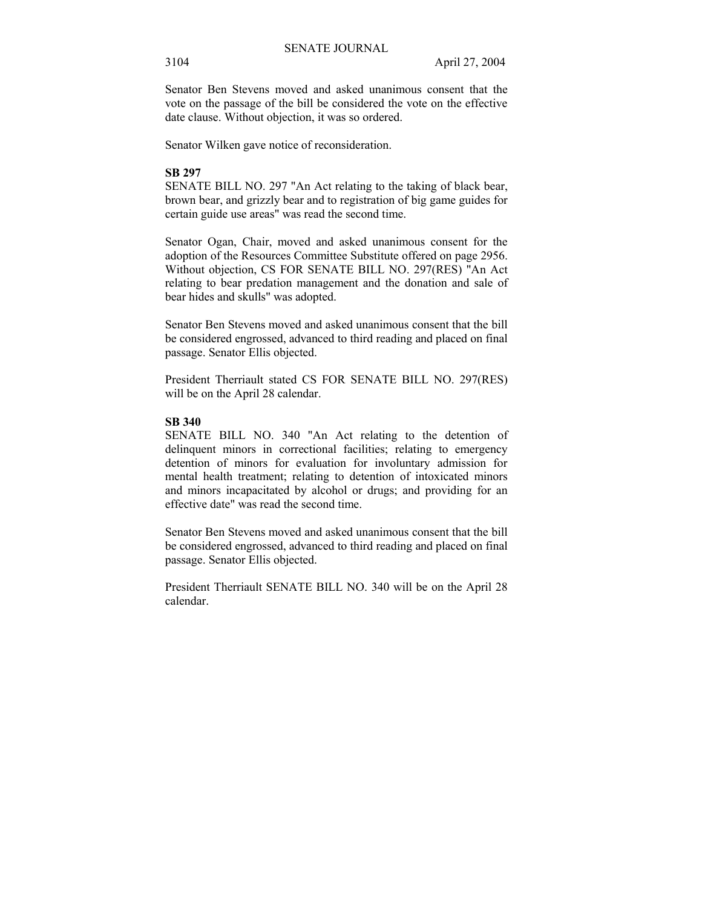Senator Ben Stevens moved and asked unanimous consent that the vote on the passage of the bill be considered the vote on the effective date clause. Without objection, it was so ordered.

Senator Wilken gave notice of reconsideration.

# **SB 297**

SENATE BILL NO. 297 "An Act relating to the taking of black bear, brown bear, and grizzly bear and to registration of big game guides for certain guide use areas" was read the second time.

Senator Ogan, Chair, moved and asked unanimous consent for the adoption of the Resources Committee Substitute offered on page 2956. Without objection, CS FOR SENATE BILL NO. 297(RES) "An Act relating to bear predation management and the donation and sale of bear hides and skulls" was adopted.

Senator Ben Stevens moved and asked unanimous consent that the bill be considered engrossed, advanced to third reading and placed on final passage. Senator Ellis objected.

President Therriault stated CS FOR SENATE BILL NO. 297(RES) will be on the April 28 calendar.

# **SB 340**

SENATE BILL NO. 340 "An Act relating to the detention of delinquent minors in correctional facilities; relating to emergency detention of minors for evaluation for involuntary admission for mental health treatment; relating to detention of intoxicated minors and minors incapacitated by alcohol or drugs; and providing for an effective date" was read the second time.

Senator Ben Stevens moved and asked unanimous consent that the bill be considered engrossed, advanced to third reading and placed on final passage. Senator Ellis objected.

President Therriault SENATE BILL NO. 340 will be on the April 28 calendar.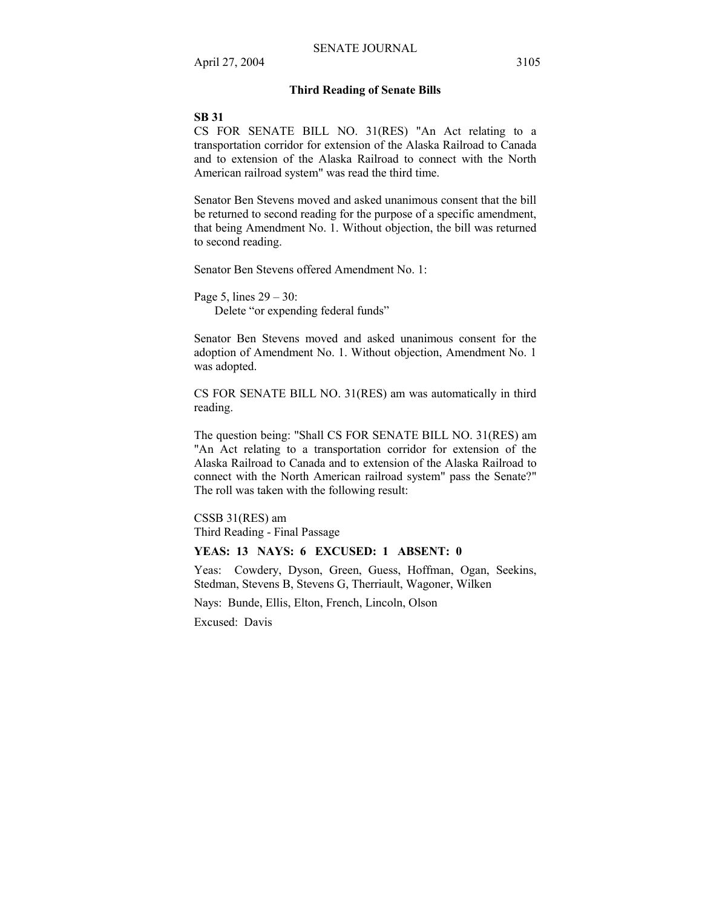#### **Third Reading of Senate Bills**

#### **SB 31**

CS FOR SENATE BILL NO. 31(RES) "An Act relating to a transportation corridor for extension of the Alaska Railroad to Canada and to extension of the Alaska Railroad to connect with the North American railroad system" was read the third time.

Senator Ben Stevens moved and asked unanimous consent that the bill be returned to second reading for the purpose of a specific amendment, that being Amendment No. 1. Without objection, the bill was returned to second reading.

Senator Ben Stevens offered Amendment No. 1:

Page 5, lines  $29 - 30$ : Delete "or expending federal funds"

Senator Ben Stevens moved and asked unanimous consent for the adoption of Amendment No. 1. Without objection, Amendment No. 1 was adopted.

CS FOR SENATE BILL NO. 31(RES) am was automatically in third reading.

The question being: "Shall CS FOR SENATE BILL NO. 31(RES) am "An Act relating to a transportation corridor for extension of the Alaska Railroad to Canada and to extension of the Alaska Railroad to connect with the North American railroad system" pass the Senate?" The roll was taken with the following result:

CSSB 31(RES) am Third Reading - Final Passage

# **YEAS: 13 NAYS: 6 EXCUSED: 1 ABSENT: 0**

Yeas: Cowdery, Dyson, Green, Guess, Hoffman, Ogan, Seekins, Stedman, Stevens B, Stevens G, Therriault, Wagoner, Wilken

Nays: Bunde, Ellis, Elton, French, Lincoln, Olson

Excused: Davis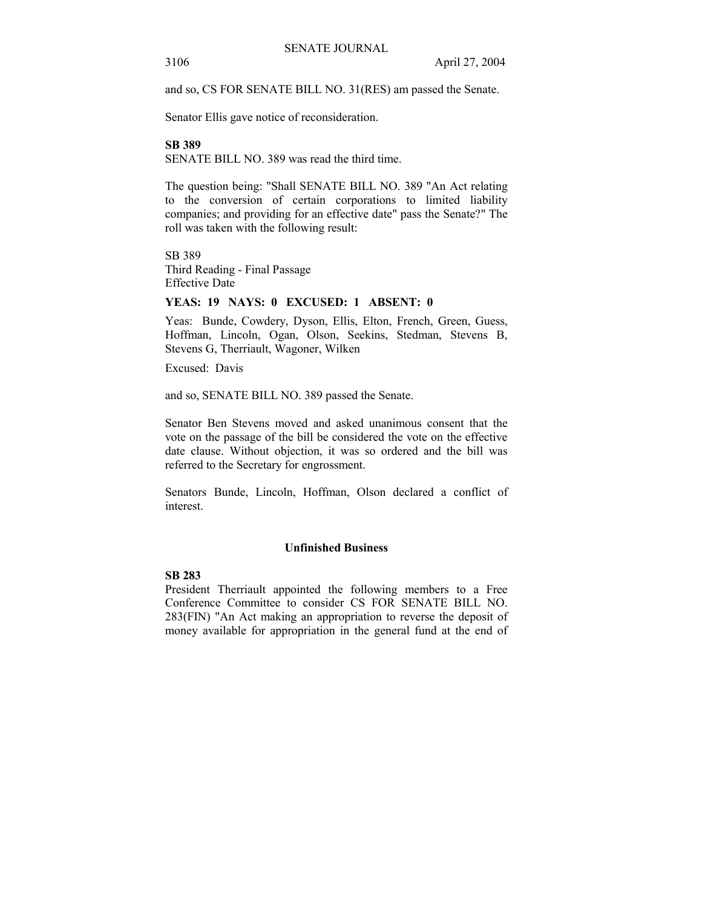and so, CS FOR SENATE BILL NO. 31(RES) am passed the Senate.

Senator Ellis gave notice of reconsideration.

#### **SB 389**

SENATE BILL NO. 389 was read the third time.

The question being: "Shall SENATE BILL NO. 389 "An Act relating to the conversion of certain corporations to limited liability companies; and providing for an effective date" pass the Senate?" The roll was taken with the following result:

SB 389 Third Reading - Final Passage Effective Date

## **YEAS: 19 NAYS: 0 EXCUSED: 1 ABSENT: 0**

Yeas: Bunde, Cowdery, Dyson, Ellis, Elton, French, Green, Guess, Hoffman, Lincoln, Ogan, Olson, Seekins, Stedman, Stevens B, Stevens G, Therriault, Wagoner, Wilken

Excused: Davis

and so, SENATE BILL NO. 389 passed the Senate.

Senator Ben Stevens moved and asked unanimous consent that the vote on the passage of the bill be considered the vote on the effective date clause. Without objection, it was so ordered and the bill was referred to the Secretary for engrossment.

Senators Bunde, Lincoln, Hoffman, Olson declared a conflict of interest.

# **Unfinished Business**

## **SB 283**

President Therriault appointed the following members to a Free Conference Committee to consider CS FOR SENATE BILL NO. 283(FIN) "An Act making an appropriation to reverse the deposit of money available for appropriation in the general fund at the end of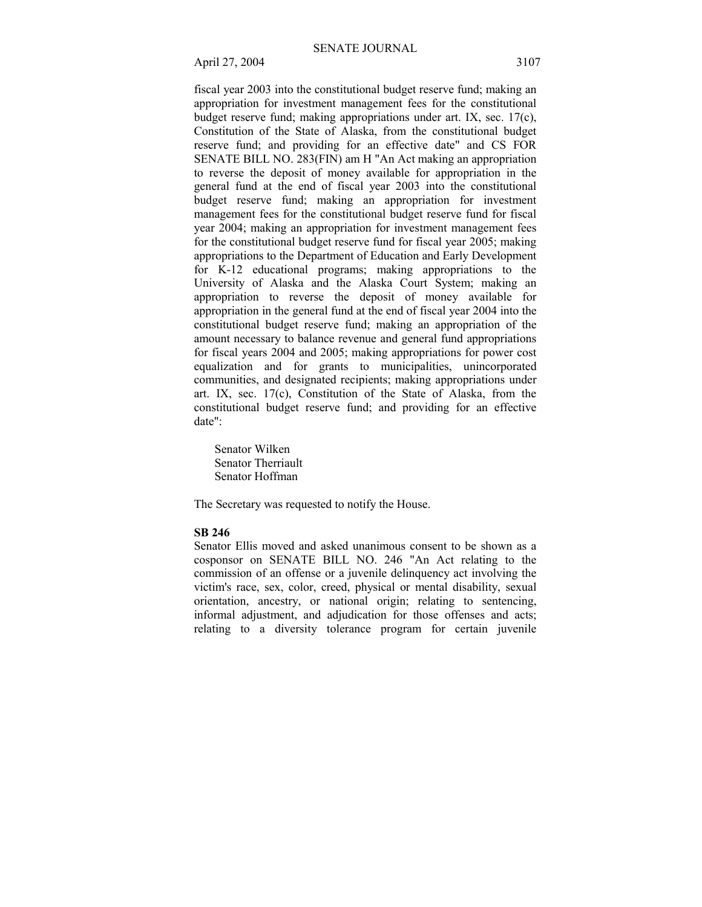fiscal year 2003 into the constitutional budget reserve fund; making an appropriation for investment management fees for the constitutional budget reserve fund; making appropriations under art. IX, sec. 17(c), Constitution of the State of Alaska, from the constitutional budget reserve fund; and providing for an effective date" and CS FOR SENATE BILL NO. 283(FIN) am H "An Act making an appropriation to reverse the deposit of money available for appropriation in the general fund at the end of fiscal year 2003 into the constitutional budget reserve fund; making an appropriation for investment management fees for the constitutional budget reserve fund for fiscal year 2004; making an appropriation for investment management fees for the constitutional budget reserve fund for fiscal year 2005; making appropriations to the Department of Education and Early Development for K-12 educational programs; making appropriations to the University of Alaska and the Alaska Court System; making an appropriation to reverse the deposit of money available for appropriation in the general fund at the end of fiscal year 2004 into the constitutional budget reserve fund; making an appropriation of the amount necessary to balance revenue and general fund appropriations for fiscal years 2004 and 2005; making appropriations for power cost equalization and for grants to municipalities, unincorporated communities, and designated recipients; making appropriations under art. IX, sec. 17(c), Constitution of the State of Alaska, from the constitutional budget reserve fund; and providing for an effective date":

 Senator Wilken Senator Therriault Senator Hoffman

The Secretary was requested to notify the House.

#### **SB 246**

Senator Ellis moved and asked unanimous consent to be shown as a cosponsor on SENATE BILL NO. 246 "An Act relating to the commission of an offense or a juvenile delinquency act involving the victim's race, sex, color, creed, physical or mental disability, sexual orientation, ancestry, or national origin; relating to sentencing, informal adjustment, and adjudication for those offenses and acts; relating to a diversity tolerance program for certain juvenile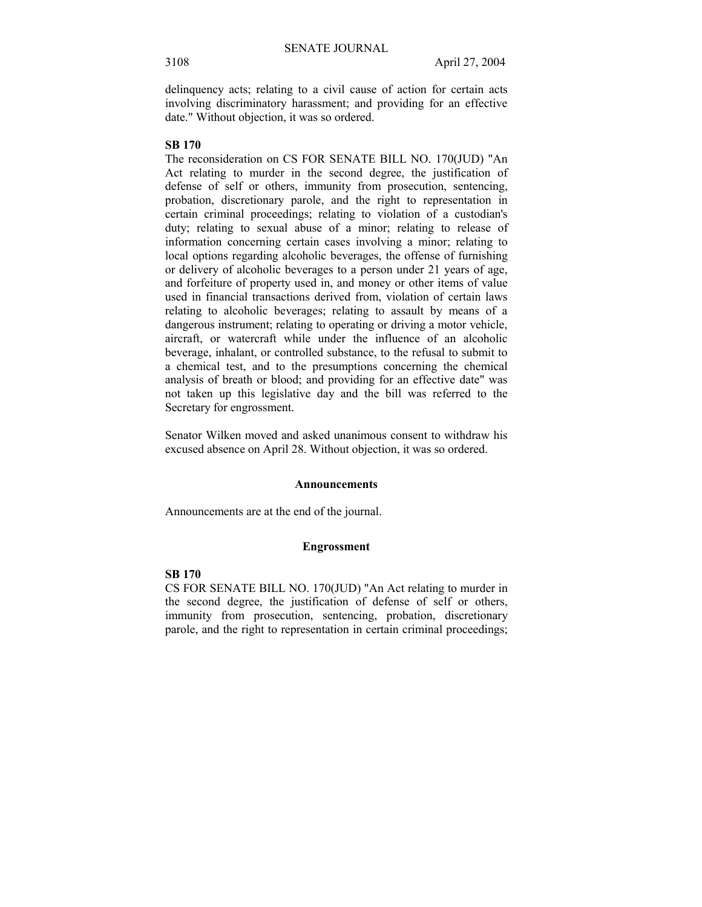delinquency acts; relating to a civil cause of action for certain acts involving discriminatory harassment; and providing for an effective date." Without objection, it was so ordered.

#### **SB 170**

The reconsideration on CS FOR SENATE BILL NO. 170(JUD) "An Act relating to murder in the second degree, the justification of defense of self or others, immunity from prosecution, sentencing, probation, discretionary parole, and the right to representation in certain criminal proceedings; relating to violation of a custodian's duty; relating to sexual abuse of a minor; relating to release of information concerning certain cases involving a minor; relating to local options regarding alcoholic beverages, the offense of furnishing or delivery of alcoholic beverages to a person under 21 years of age, and forfeiture of property used in, and money or other items of value used in financial transactions derived from, violation of certain laws relating to alcoholic beverages; relating to assault by means of a dangerous instrument; relating to operating or driving a motor vehicle, aircraft, or watercraft while under the influence of an alcoholic beverage, inhalant, or controlled substance, to the refusal to submit to a chemical test, and to the presumptions concerning the chemical analysis of breath or blood; and providing for an effective date" was not taken up this legislative day and the bill was referred to the Secretary for engrossment.

Senator Wilken moved and asked unanimous consent to withdraw his excused absence on April 28. Without objection, it was so ordered.

#### **Announcements**

Announcements are at the end of the journal.

#### **Engrossment**

## **SB 170**

CS FOR SENATE BILL NO. 170(JUD) "An Act relating to murder in the second degree, the justification of defense of self or others, immunity from prosecution, sentencing, probation, discretionary parole, and the right to representation in certain criminal proceedings;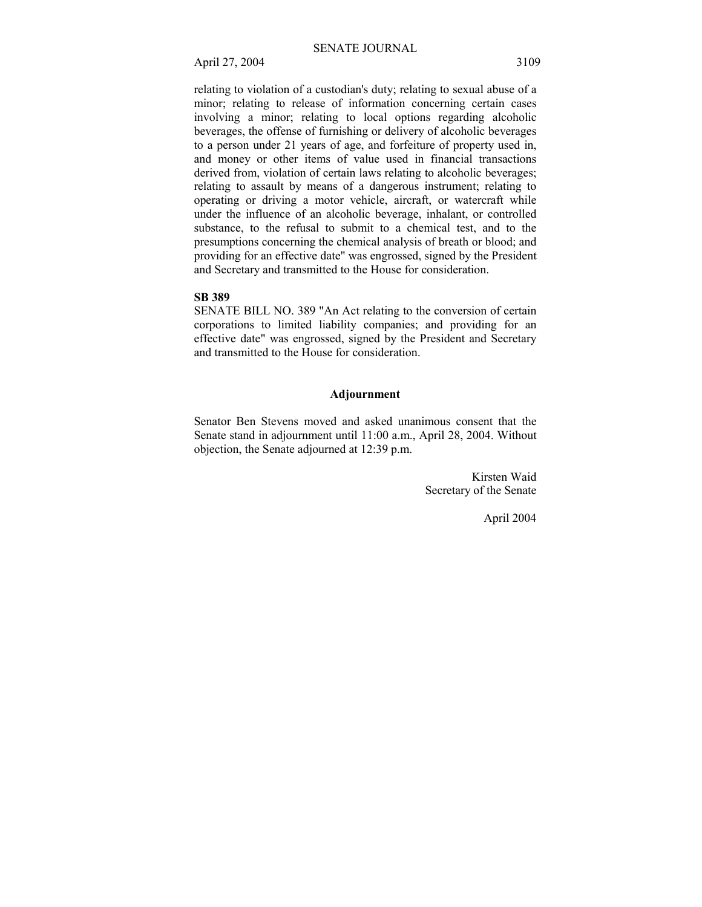relating to violation of a custodian's duty; relating to sexual abuse of a minor; relating to release of information concerning certain cases involving a minor; relating to local options regarding alcoholic beverages, the offense of furnishing or delivery of alcoholic beverages to a person under 21 years of age, and forfeiture of property used in, and money or other items of value used in financial transactions derived from, violation of certain laws relating to alcoholic beverages; relating to assault by means of a dangerous instrument; relating to operating or driving a motor vehicle, aircraft, or watercraft while under the influence of an alcoholic beverage, inhalant, or controlled substance, to the refusal to submit to a chemical test, and to the presumptions concerning the chemical analysis of breath or blood; and providing for an effective date" was engrossed, signed by the President and Secretary and transmitted to the House for consideration.

#### **SB 389**

SENATE BILL NO. 389 "An Act relating to the conversion of certain corporations to limited liability companies; and providing for an effective date" was engrossed, signed by the President and Secretary and transmitted to the House for consideration.

#### **Adjournment**

Senator Ben Stevens moved and asked unanimous consent that the Senate stand in adjournment until 11:00 a.m., April 28, 2004. Without objection, the Senate adjourned at 12:39 p.m.

> Kirsten Waid Secretary of the Senate

> > April 2004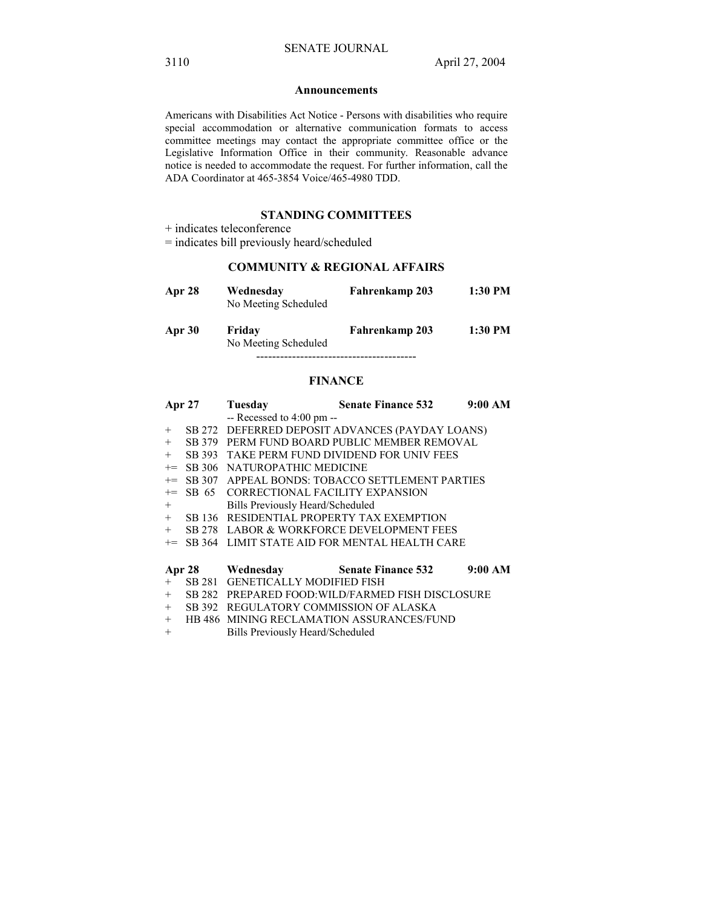#### **Announcements**

Americans with Disabilities Act Notice - Persons with disabilities who require special accommodation or alternative communication formats to access committee meetings may contact the appropriate committee office or the Legislative Information Office in their community. Reasonable advance notice is needed to accommodate the request. For further information, call the ADA Coordinator at 465-3854 Voice/465-4980 TDD.

## **STANDING COMMITTEES**

+ indicates teleconference

= indicates bill previously heard/scheduled

## **COMMUNITY & REGIONAL AFFAIRS**

| Apr 28 | Wednesday<br>No Meeting Scheduled | Fahrenkamp 203 | 1:30 PM |
|--------|-----------------------------------|----------------|---------|
| Apr 30 | Friday<br>No Meeting Scheduled    | Fahrenkamp 203 | 1:30 PM |

#### **FINANCE**

----------------------------------------

|        | <b>Apr 27</b> | Tuesday                                     | <b>Senate Finance 532</b>                                   | 9:00 AM |
|--------|---------------|---------------------------------------------|-------------------------------------------------------------|---------|
|        |               | $-$ Recessed to 4:00 pm $-$                 |                                                             |         |
| $+$    |               |                                             | SB 272 DEFERRED DEPOSIT ADVANCES (PAYDAY LOANS)             |         |
| $+$    |               |                                             | SB 379 PERM FUND BOARD PUBLIC MEMBER REMOVAL                |         |
| $+$    |               |                                             | SB 393 TAKE PERM FUND DIVIDEND FOR UNIV FEES                |         |
|        |               | += SB 306 NATUROPATHIC MEDICINE             |                                                             |         |
| $+=$   |               |                                             | SB 307 APPEAL BONDS: TOBACCO SETTLEMENT PARTIES             |         |
| $+=$   |               | SB 65 CORRECTIONAL FACILITY EXPANSION       |                                                             |         |
| $^{+}$ |               | Bills Previously Heard/Scheduled            |                                                             |         |
|        |               | + SB 136 RESIDENTIAL PROPERTY TAX EXEMPTION |                                                             |         |
| $+$    |               |                                             | SB 278 LABOR & WORKFORCE DEVELOPMENT FEES                   |         |
|        |               |                                             | <sup>+=</sup> SB 364 LIMIT STATE AID FOR MENTAL HEALTH CARE |         |
|        |               |                                             |                                                             |         |
|        |               | Apr 28 Wednesday Senate Finance 532         |                                                             | 9:00 AM |
| $+$    | SB 281        | <b>GENETICALLY MODIFIED FISH</b>            |                                                             |         |
| $+$    |               |                                             | SB 282 PREPARED FOOD: WILD/FARMED FISH DISCLOSURE           |         |
| $+$    |               | SB 392 REGULATORY COMMISSION OF ALASKA      |                                                             |         |
| $+$    |               |                                             | HB 486 MINING RECLAMATION ASSURANCES/FUND                   |         |
| $^{+}$ |               | <b>Bills Previously Heard/Scheduled</b>     |                                                             |         |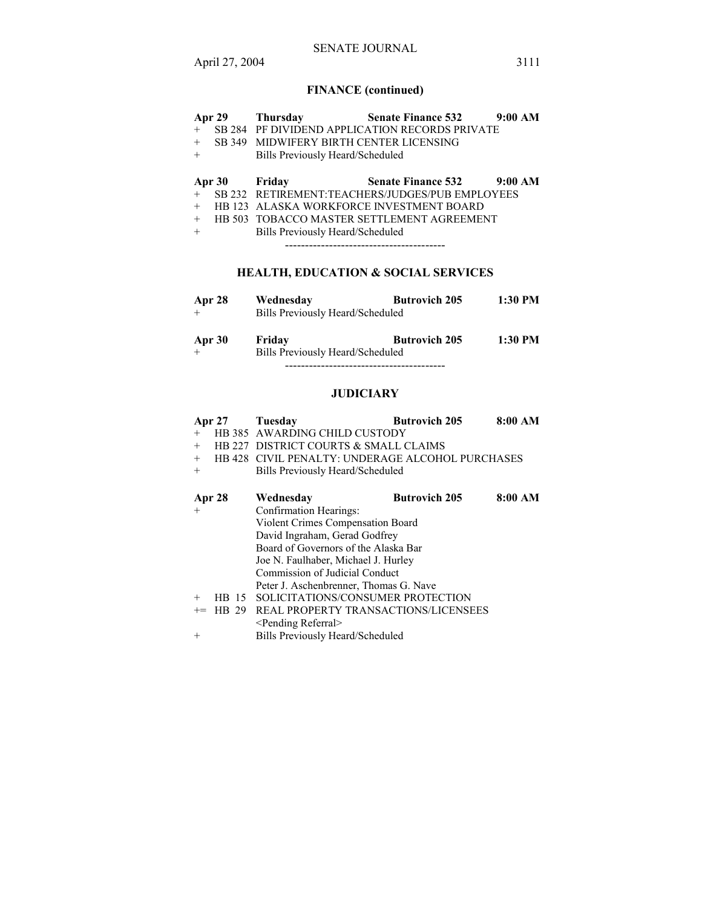# **FINANCE (continued)**

| Apr 29 | <b>Thursday</b>                         | <b>Senate Finance 532</b>                       | 9:00 AM |
|--------|-----------------------------------------|-------------------------------------------------|---------|
| $+$    |                                         | SB 284 PF DIVIDEND APPLICATION RECORDS PRIVATE  |         |
| $^{+}$ | SB 349 MIDWIFERY BIRTH CENTER LICENSING |                                                 |         |
| $+$    | <b>Bills Previously Heard/Scheduled</b> |                                                 |         |
| Apr 30 | Friday                                  | <b>Senate Finance 532</b>                       | 9:00 AM |
| $+$    |                                         | SB 232 RETIREMENT:TEACHERS/JUDGES/PUB EMPLOYEES |         |
| $+$    |                                         | HB 123 ALASKA WORKFORCE INVESTMENT BOARD        |         |
| $+$    |                                         | HB 503 TOBACCO MASTER SETTLEMENT AGREEMENT      |         |
| $^{+}$ | Bills Previously Heard/Scheduled        |                                                 |         |
|        |                                         |                                                 |         |
|        |                                         | <b>HEALTH, EDUCATION &amp; SOCIAL SERVICES</b>  |         |
| Apr 28 | Wednesdav                               | <b>Butrovich 205</b>                            | 1:30 PM |

|        | Bills Previously Heard/Scheduled |                      |         |  |
|--------|----------------------------------|----------------------|---------|--|
| Apr 30 | Friday                           | <b>Butrovich 205</b> | 1:30 PM |  |
|        | Bills Previously Heard/Scheduled |                      |         |  |

----------------------------------------

# **JUDICIARY**

| $^{+}$<br>$^{+}$<br>$+$<br>$^{+}$ | <b>Apr 27</b>           | Tuesday<br>HB 385 AWARDING CHILD CUSTODY<br>HB 227 DISTRICT COURTS & SMALL CLAIMS<br>HB 428 CIVIL PENALTY: UNDERAGE ALCOHOL PURCHASES<br>Bills Previously Heard/Scheduled                                                  | <b>Butrovich 205</b> | 8:00 AM |
|-----------------------------------|-------------------------|----------------------------------------------------------------------------------------------------------------------------------------------------------------------------------------------------------------------------|----------------------|---------|
| $^{+}$                            | Apr 28                  | Wednesday<br>Confirmation Hearings:<br>Violent Crimes Compensation Board<br>David Ingraham, Gerad Godfrey<br>Board of Governors of the Alaska Bar<br>Joe N. Faulhaber, Michael J. Hurley<br>Commission of Judicial Conduct | <b>Butrovich 205</b> | 8:00 AM |
| $^{+}$<br>$+=$                    | HB.<br>-15<br>29<br>HB. | Peter J. Aschenbrenner, Thomas G. Nave<br>SOLICITATIONS/CONSUMER PROTECTION<br>REAL PROPERTY TRANSACTIONS/LICENSEES<br>$\le$ Pending Referral $\ge$                                                                        |                      |         |

+ Bills Previously Heard/Scheduled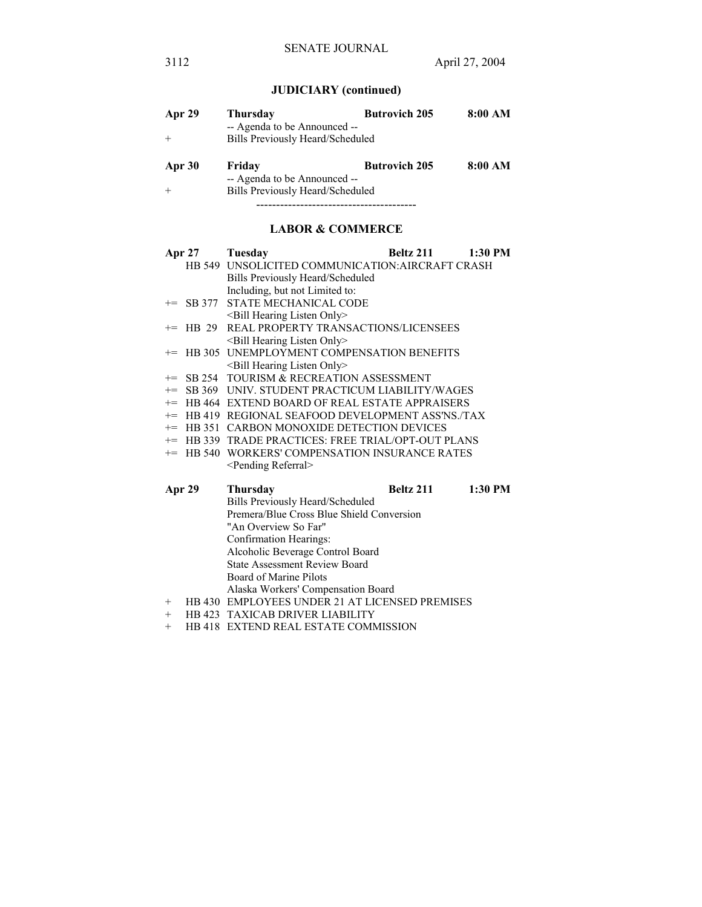# **JUDICIARY (continued)**

| Apr 29 | Thursday                         | <b>Butrovich 205</b> | 8:00 AM |
|--------|----------------------------------|----------------------|---------|
|        | -- Agenda to be Announced --     |                      |         |
|        | Bills Previously Heard/Scheduled |                      |         |
| Apr 30 | Friday                           | <b>Butrovich 205</b> | 8:00 AM |
|        | -- Agenda to be Announced --     |                      |         |
|        | Bills Previously Heard/Scheduled |                      |         |
|        |                                  |                      |         |

# **LABOR & COMMERCE**

|                                      |                                    | Apr 27 Tuesday                                      | Beltz 211 | 1:30 PM |
|--------------------------------------|------------------------------------|-----------------------------------------------------|-----------|---------|
|                                      |                                    | HB 549 UNSOLICITED COMMUNICATION: AIRCRAFT CRASH    |           |         |
|                                      |                                    | Bills Previously Heard/Scheduled                    |           |         |
|                                      |                                    | Including, but not Limited to:                      |           |         |
|                                      | $+=$ SB 377                        | <b>STATE MECHANICAL CODE</b>                        |           |         |
|                                      |                                    | $\leq$ Bill Hearing Listen Only $\geq$              |           |         |
|                                      | $+=$ HB 29                         | REAL PROPERTY TRANSACTIONS/LICENSEES                |           |         |
|                                      |                                    | <bill hearing="" listen="" only=""></bill>          |           |         |
|                                      |                                    | += HB 305 UNEMPLOYMENT COMPENSATION BENEFITS        |           |         |
|                                      |                                    | <bill hearing="" listen="" only=""></bill>          |           |         |
|                                      |                                    | += SB 254 TOURISM & RECREATION ASSESSMENT           |           |         |
|                                      |                                    | += SB 369 UNIV. STUDENT PRACTICUM LIABILITY/WAGES   |           |         |
|                                      |                                    | += HB 464 EXTEND BOARD OF REAL ESTATE APPRAISERS    |           |         |
|                                      |                                    | += HB 419 REGIONAL SEAFOOD DEVELOPMENT ASS'NS./TAX  |           |         |
|                                      |                                    | += HB 351 CARBON MONOXIDE DETECTION DEVICES         |           |         |
|                                      |                                    | += HB 339 TRADE PRACTICES: FREE TRIAL/OPT-OUT PLANS |           |         |
|                                      |                                    | += HB 540 WORKERS' COMPENSATION INSURANCE RATES     |           |         |
|                                      |                                    | <pending referral=""></pending>                     |           |         |
|                                      | Apr 29                             | <b>Thursday</b>                                     | Beltz 211 | 1:30 PM |
|                                      |                                    | Bills Previously Heard/Scheduled                    |           |         |
|                                      |                                    | Premera/Blue Cross Blue Shield Conversion           |           |         |
|                                      |                                    | "An Overview So Far"                                |           |         |
| Confirmation Hearings:               |                                    |                                                     |           |         |
|                                      | Alcoholic Beverage Control Board   |                                                     |           |         |
| <b>State Assessment Review Board</b> |                                    |                                                     |           |         |
|                                      |                                    | Board of Marine Pilots                              |           |         |
|                                      | Alaska Workers' Compensation Board |                                                     |           |         |

- + HB 430 EMPLOYEES UNDER 21 AT LICENSED PREMISES
- + HB 423 TAXICAB DRIVER LIABILITY
- + HB 418 EXTEND REAL ESTATE COMMISSION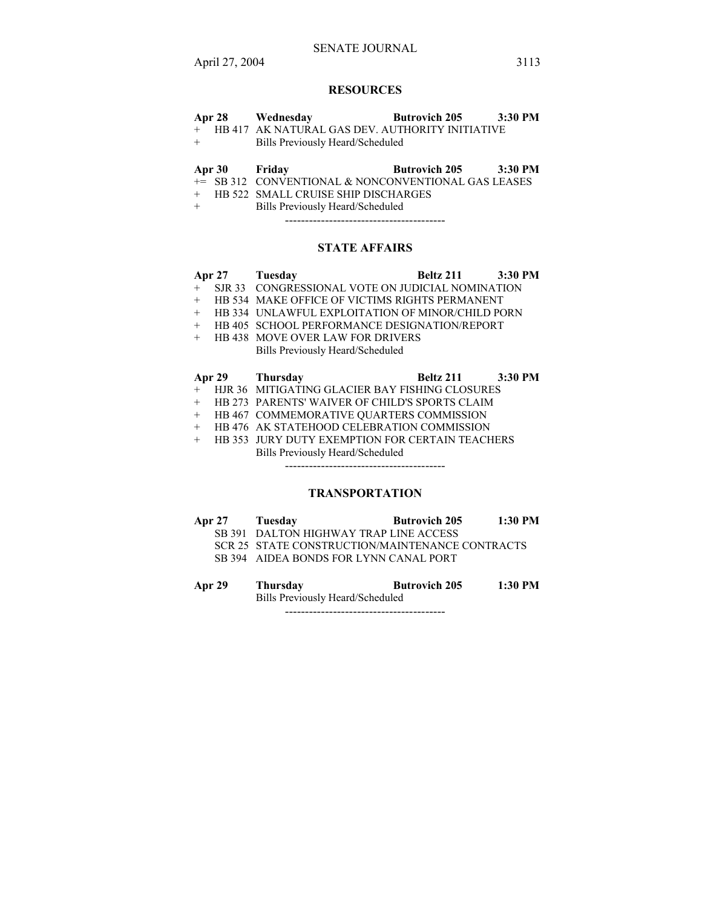# **RESOURCES**

|     | Apr 28 Wednesday                                  | <b>Butrovich 205</b> | 3:30 PM |
|-----|---------------------------------------------------|----------------------|---------|
|     | + HB 417 AK NATURAL GAS DEV. AUTHORITY INITIATIVE |                      |         |
| $+$ | Bills Previously Heard/Scheduled                  |                      |         |
|     |                                                   |                      |         |

# **Apr 30 Friday Butrovich 205 3:30 PM**

- += SB 312 CONVENTIONAL & NONCONVENTIONAL GAS LEASES + HB 522 SMALL CRUISE SHIP DISCHARGES
- + Bills Previously Heard/Scheduled

----------------------------------------

## **STATE AFFAIRS**

|     | Apr 27 Tuesday                                     | Beltz 211 3:30 PM |  |
|-----|----------------------------------------------------|-------------------|--|
|     | + SJR 33 CONGRESSIONAL VOTE ON JUDICIAL NOMINATION |                   |  |
|     | HB 534 MAKE OFFICE OF VICTIMS RIGHTS PERMANENT     |                   |  |
|     | HB 334 UNLAWFUL EXPLOITATION OF MINOR/CHILD PORN   |                   |  |
| $+$ | HB 405 SCHOOL PERFORMANCE DESIGNATION/REPORT       |                   |  |
|     | HB 438 MOVE OVER LAW FOR DRIVERS                   |                   |  |
|     | <b>Bills Previously Heard/Scheduled</b>            |                   |  |
|     |                                                    |                   |  |

| Apr 29<br>Thursday | <b>Beltz 211</b> | 3:30 PM |
|--------------------|------------------|---------|
|--------------------|------------------|---------|

- + HJR 36 MITIGATING GLACIER BAY FISHING CLOSURES
- + HB 273 PARENTS' WAIVER OF CHILD'S SPORTS CLAIM
- + HB 467 COMMEMORATIVE QUARTERS COMMISSION
- + HB 476 AK STATEHOOD CELEBRATION COMMISSION
- + HB 353 JURY DUTY EXEMPTION FOR CERTAIN TEACHERS Bills Previously Heard/Scheduled

----------------------------------------

# **TRANSPORTATION**

| Apr 27 | Tuesday | <b>Butrovich 205</b>                            | $1:30$ PM |
|--------|---------|-------------------------------------------------|-----------|
|        |         | SB 391 DALTON HIGHWAY TRAP LINE ACCESS          |           |
|        |         | SCR 25 STATE CONSTRUCTION/MAINTENANCE CONTRACTS |           |

SB 394 AIDEA BONDS FOR LYNN CANAL PORT

**Apr 29 Thursday Butrovich 205 1:30 PM**  Bills Previously Heard/Scheduled ----------------------------------------